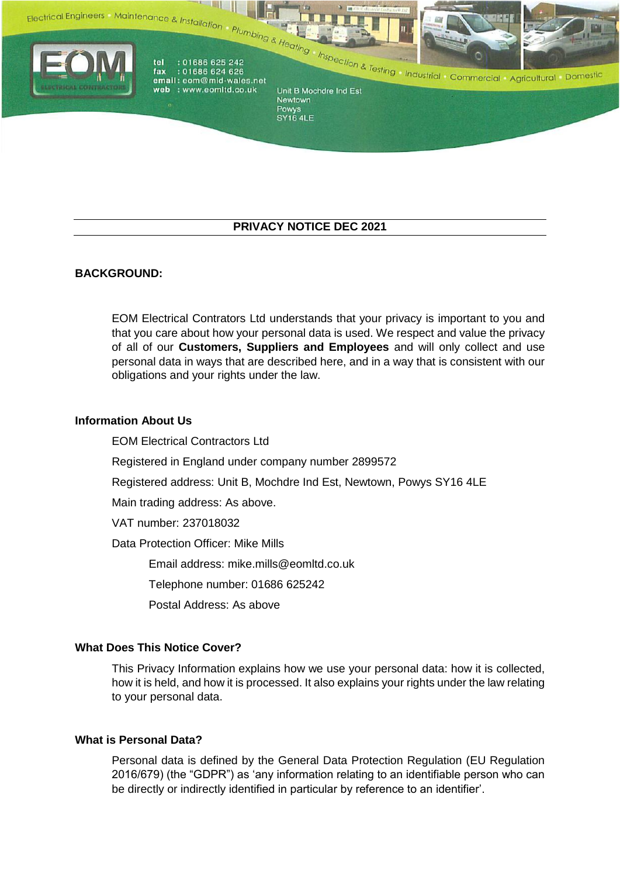



Powys<br>SY16 4LE

# **PRIVACY NOTICE DEC 2021**

# **BACKGROUND:**

EOM Electrical Contrators Ltd understands that your privacy is important to you and that you care about how your personal data is used. We respect and value the privacy of all of our **Customers, Suppliers and Employees** and will only collect and use personal data in ways that are described here, and in a way that is consistent with our obligations and your rights under the law.

### **Information About Us**

EOM Electrical Contractors Ltd Registered in England under company number 2899572 Registered address: Unit B, Mochdre Ind Est, Newtown, Powys SY16 4LE Main trading address: As above. VAT number: 237018032 Data Protection Officer: Mike Mills Email address: mike.mills@eomltd.co.uk Telephone number: 01686 625242 Postal Address: As above

# **What Does This Notice Cover?**

This Privacy Information explains how we use your personal data: how it is collected, how it is held, and how it is processed. It also explains your rights under the law relating to your personal data.

#### **What is Personal Data?**

Personal data is defined by the General Data Protection Regulation (EU Regulation 2016/679) (the "GDPR") as 'any information relating to an identifiable person who can be directly or indirectly identified in particular by reference to an identifier'.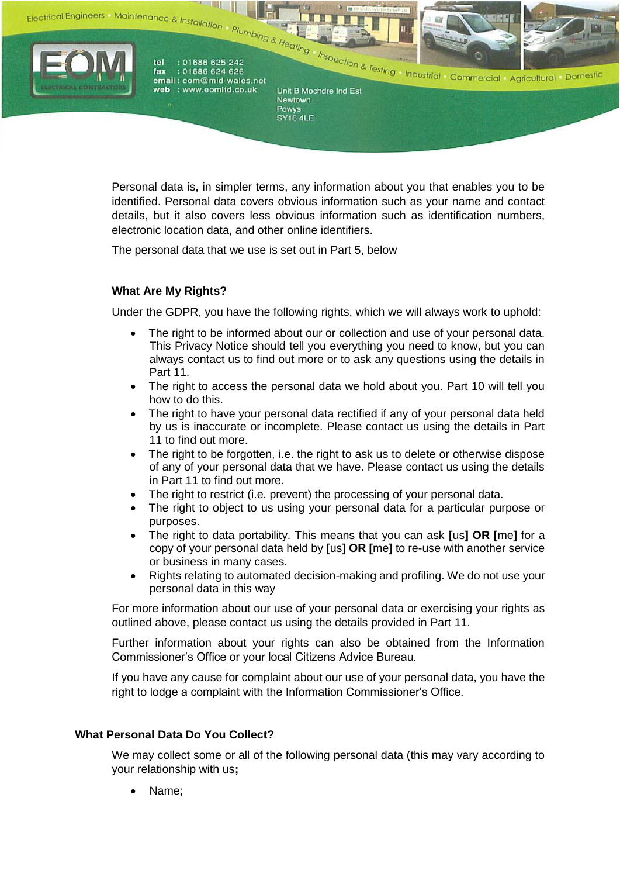



Powys<br>SY16 4LE

Personal data is, in simpler terms, any information about you that enables you to be identified. Personal data covers obvious information such as your name and contact details, but it also covers less obvious information such as identification numbers, electronic location data, and other online identifiers.

The personal data that we use is set out in Part 5, below

# **What Are My Rights?**

Under the GDPR, you have the following rights, which we will always work to uphold:

- The right to be informed about our or collection and use of your personal data. This Privacy Notice should tell you everything you need to know, but you can always contact us to find out more or to ask any questions using the details in Part 11.
- The right to access the personal data we hold about you. Part 10 will tell you how to do this.
- The right to have your personal data rectified if any of your personal data held by us is inaccurate or incomplete. Please contact us using the details in Part 11 to find out more.
- The right to be forgotten, i.e. the right to ask us to delete or otherwise dispose of any of your personal data that we have. Please contact us using the details in Part 11 to find out more.
- The right to restrict (i.e. prevent) the processing of your personal data.
- The right to object to us using your personal data for a particular purpose or purposes.
- The right to data portability. This means that you can ask **[**us**] OR [**me**]** for a copy of your personal data held by **[**us**] OR [**me**]** to re-use with another service or business in many cases.
- Rights relating to automated decision-making and profiling. We do not use your personal data in this way

For more information about our use of your personal data or exercising your rights as outlined above, please contact us using the details provided in Part 11.

Further information about your rights can also be obtained from the Information Commissioner's Office or your local Citizens Advice Bureau.

If you have any cause for complaint about our use of your personal data, you have the right to lodge a complaint with the Information Commissioner's Office.

# **What Personal Data Do You Collect?**

We may collect some or all of the following personal data (this may vary according to your relationship with us**;**

Name;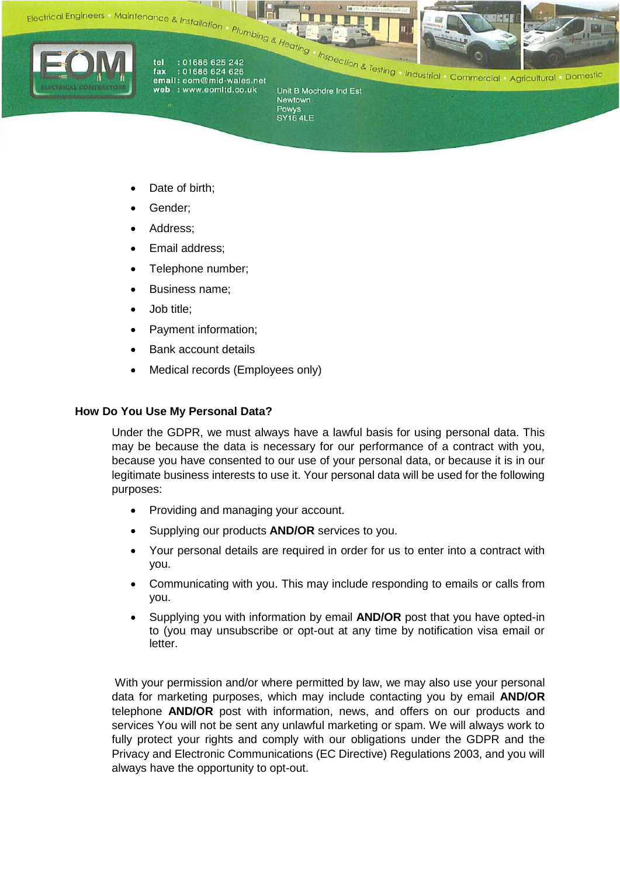



Powys<br>SY16 4LE

- Date of birth;
- Gender;
- Address;
- Email address;
- Telephone number;
- Business name;
- Job title;
- Payment information;
- Bank account details
- Medical records (Employees only)

# **How Do You Use My Personal Data?**

Under the GDPR, we must always have a lawful basis for using personal data. This may be because the data is necessary for our performance of a contract with you, because you have consented to our use of your personal data, or because it is in our legitimate business interests to use it. Your personal data will be used for the following purposes:

- Providing and managing your account.
- Supplying our products **AND/OR** services to you.
- Your personal details are required in order for us to enter into a contract with you.
- Communicating with you. This may include responding to emails or calls from you.
- Supplying you with information by email **AND/OR** post that you have opted-in to (you may unsubscribe or opt-out at any time by notification visa email or letter.

With your permission and/or where permitted by law, we may also use your personal data for marketing purposes, which may include contacting you by email **AND/OR**  telephone **AND/OR** post with information, news, and offers on our products and services You will not be sent any unlawful marketing or spam. We will always work to fully protect your rights and comply with our obligations under the GDPR and the Privacy and Electronic Communications (EC Directive) Regulations 2003, and you will always have the opportunity to opt-out.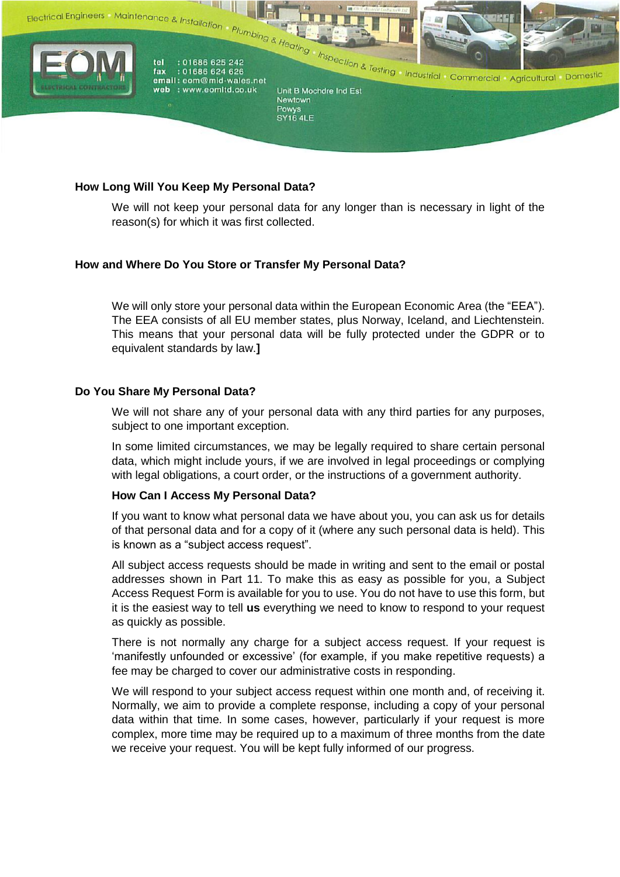

# **How Long Will You Keep My Personal Data?**

We will not keep your personal data for any longer than is necessary in light of the reason(s) for which it was first collected.

### **How and Where Do You Store or Transfer My Personal Data?**

We will only store your personal data within the European Economic Area (the "EEA"). The EEA consists of all EU member states, plus Norway, Iceland, and Liechtenstein. This means that your personal data will be fully protected under the GDPR or to equivalent standards by law.**]**

### **Do You Share My Personal Data?**

We will not share any of your personal data with any third parties for any purposes, subject to one important exception.

In some limited circumstances, we may be legally required to share certain personal data, which might include yours, if we are involved in legal proceedings or complying with legal obligations, a court order, or the instructions of a government authority.

### **How Can I Access My Personal Data?**

If you want to know what personal data we have about you, you can ask us for details of that personal data and for a copy of it (where any such personal data is held). This is known as a "subject access request".

All subject access requests should be made in writing and sent to the email or postal addresses shown in Part 11. To make this as easy as possible for you, a Subject Access Request Form is available for you to use. You do not have to use this form, but it is the easiest way to tell **us** everything we need to know to respond to your request as quickly as possible.

There is not normally any charge for a subject access request. If your request is 'manifestly unfounded or excessive' (for example, if you make repetitive requests) a fee may be charged to cover our administrative costs in responding.

We will respond to your subject access request within one month and, of receiving it. Normally, we aim to provide a complete response, including a copy of your personal data within that time. In some cases, however, particularly if your request is more complex, more time may be required up to a maximum of three months from the date we receive your request. You will be kept fully informed of our progress.